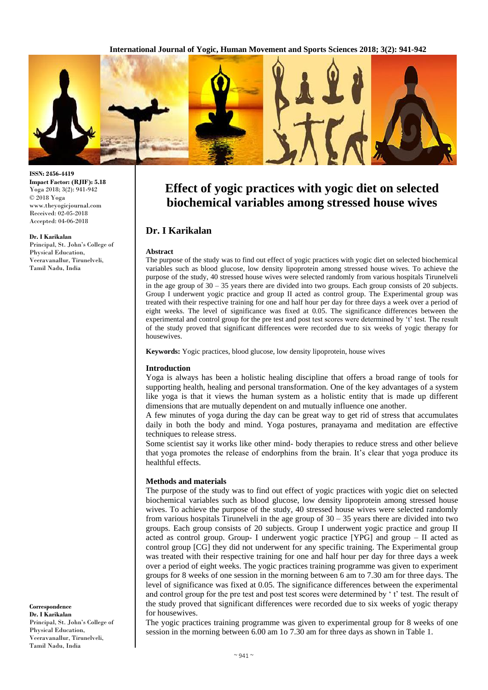

**ISSN: 2456-4419 Impact Factor: (RJIF): 5.18** Yoga 2018; 3(2): 941-942 © 2018 Yoga www.theyogicjournal.com Received: 02-05-2018 Accepted: 04-06-2018

#### **Dr. I Karikalan**

Principal, St. John's College of Physical Education, Veeravanallur, Tirunelveli, Tamil Nadu, India

**Correspondence Dr. I Karikalan** Principal, St. John's College of Physical Education, Veeravanallur, Tirunelveli, Tamil Nadu, India

# **Effect of yogic practices with yogic diet on selected biochemical variables among stressed house wives**

# **Dr. I Karikalan**

#### **Abstract**

The purpose of the study was to find out effect of yogic practices with yogic diet on selected biochemical variables such as blood glucose, low density lipoprotein among stressed house wives. To achieve the purpose of the study, 40 stressed house wives were selected randomly from various hospitals Tirunelveli in the age group of  $30 - 35$  years there are divided into two groups. Each group consists of 20 subjects. Group I underwent yogic practice and group II acted as control group. The Experimental group was treated with their respective training for one and half hour per day for three days a week over a period of eight weeks. The level of significance was fixed at 0.05. The significance differences between the experimental and control group for the pre test and post test scores were determined by 't' test. The result of the study proved that significant differences were recorded due to six weeks of yogic therapy for housewives.

**Keywords:** Yogic practices, blood glucose, low density lipoprotein, house wives

#### **Introduction**

Yoga is always has been a holistic healing discipline that offers a broad range of tools for supporting health, healing and personal transformation. One of the key advantages of a system like yoga is that it views the human system as a holistic entity that is made up different dimensions that are mutually dependent on and mutually influence one another.

A few minutes of yoga during the day can be great way to get rid of stress that accumulates daily in both the body and mind. Yoga postures, pranayama and meditation are effective techniques to release stress.

Some scientist say it works like other mind- body therapies to reduce stress and other believe that yoga promotes the release of endorphins from the brain. It's clear that yoga produce its healthful effects.

### **Methods and materials**

The purpose of the study was to find out effect of yogic practices with yogic diet on selected biochemical variables such as blood glucose, low density lipoprotein among stressed house wives. To achieve the purpose of the study, 40 stressed house wives were selected randomly from various hospitals Tirunelveli in the age group of  $30 - 35$  years there are divided into two groups. Each group consists of 20 subjects. Group I underwent yogic practice and group II acted as control group. Group- I underwent yogic practice [YPG] and group  $-$  II acted as control group [CG] they did not underwent for any specific training. The Experimental group was treated with their respective training for one and half hour per day for three days a week over a period of eight weeks. The yogic practices training programme was given to experiment groups for 8 weeks of one session in the morning between 6 am to 7.30 am for three days. The level of significance was fixed at 0.05. The significance differences between the experimental and control group for the pre test and post test scores were determined by ' t' test. The result of the study proved that significant differences were recorded due to six weeks of yogic therapy for housewives.

The yogic practices training programme was given to experimental group for 8 weeks of one session in the morning between 6.00 am 1o 7.30 am for three days as shown in Table 1.